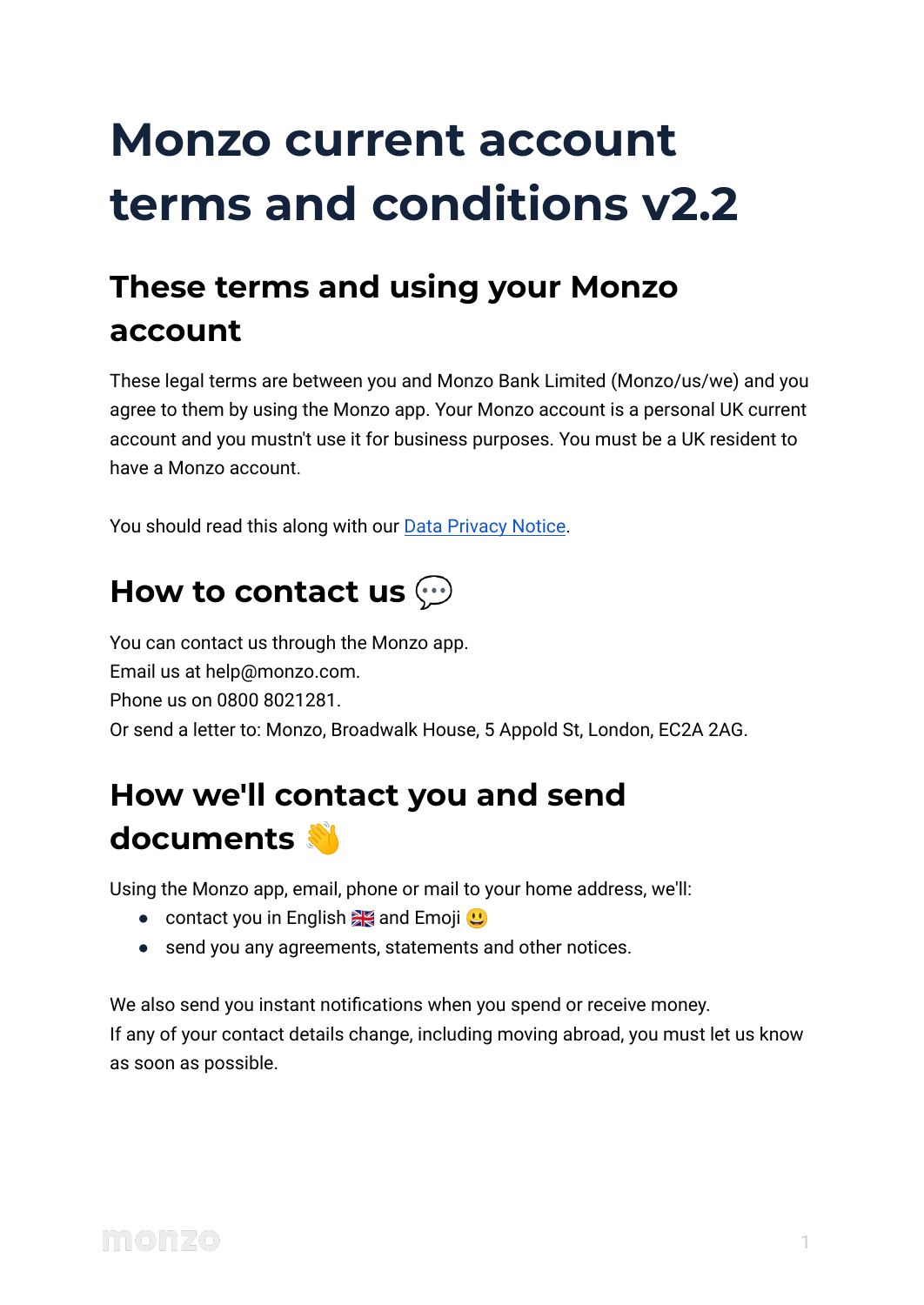# **Monzo current account terms and conditions v2.2**

# **These terms and using your Monzo account**

These legal terms are between you and Monzo Bank Limited (Monzo/us/we) and you agree to them by using the Monzo app. Your Monzo account is a personal UK current account and you mustn't use it for business purposes. You must be a UK resident to have a Monzo account.

You should read this along with our [Data Privacy Notice](https://monzo.com/legal/privacy-notice/).

# **How to contact us**

You can contact us through the Monzo app. Email us at help@monzo.com. Phone us on 0800 8021281. Or send a letter to: Monzo, Broadwalk House, 5 Appold St, London, EC2A 2AG.

# **How we'll contact you and send documents**

Using the Monzo app, email, phone or mail to your home address, we'll:

- **•** contact you in English  $\frac{1}{2}$  and Emoji  $\frac{1}{2}$
- send you any agreements, statements and other notices.

We also send you instant notifications when you spend or receive money. If any of your contact details change, including moving abroad, you must let us know as soon as possible.

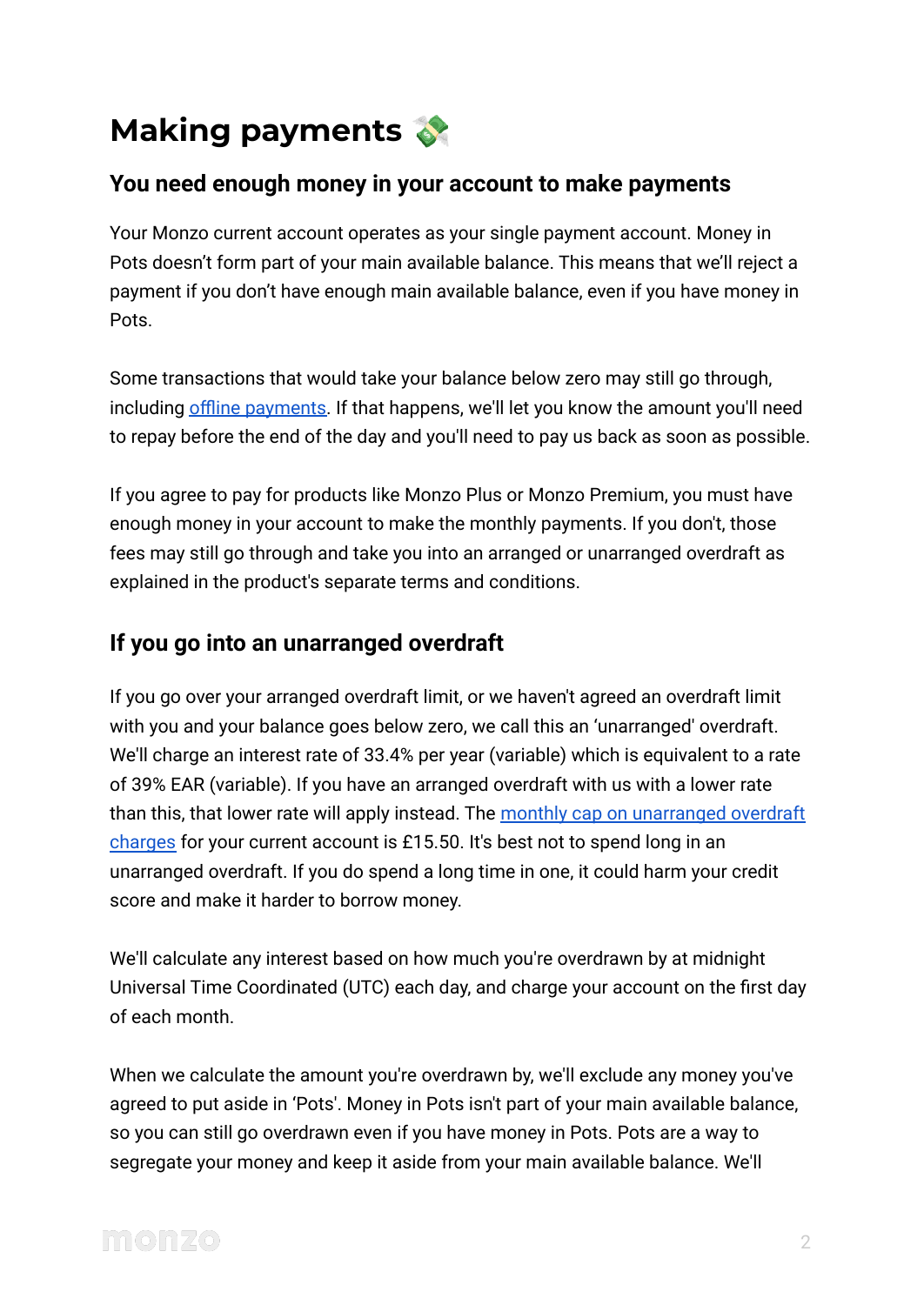# **Making payments**

### **You need enough money in your account to make payments**

Your Monzo current account operates as your single payment account. Money in Pots doesn't form part of your main available balance. This means that we'll reject a payment if you don't have enough main available balance, even if you have money in Pots.

Some transactions that would take your balance below zero may still go through, including [offline payments.](https://monzo.com/help/payments-troubleshooting/offline-payments) If that happens, we'll let you know the amount you'll need to repay before the end of the day and you'll need to pay us back as soon as possible.

If you agree to pay for products like Monzo Plus or Monzo Premium, you must have enough money in your account to make the monthly payments. If you don't, those fees may still go through and take you into an arranged or unarranged overdraft as explained in the product's separate terms and conditions.

### **If you go into an unarranged overdraft**

If you go over your arranged overdraft limit, or we haven't agreed an overdraft limit with you and your balance goes below zero, we call this an 'unarranged' overdraft. We'll charge an interest rate of 33.4% per year (variable) which is equivalent to a rate of 39% EAR (variable). If you have an arranged overdraft with us with a lower rate than this, that lower rate will apply instead. The [monthly cap on unarranged overdraft](https://monzo.com/legal/terms-and-conditions/overdraft-charges-monthly-cap) [charges](https://monzo.com/legal/terms-and-conditions/overdraft-charges-monthly-cap) for your current account is £15.50. It's best not to spend long in an unarranged overdraft. If you do spend a long time in one, it could harm your credit score and make it harder to borrow money.

We'll calculate any interest based on how much you're overdrawn by at midnight Universal Time Coordinated (UTC) each day, and charge your account on the first day of each month.

When we calculate the amount you're overdrawn by, we'll exclude any money you've agreed to put aside in 'Pots'. Money in Pots isn't part of your main available balance, so you can still go overdrawn even if you have money in Pots. Pots are a way to segregate your money and keep it aside from your main available balance. We'll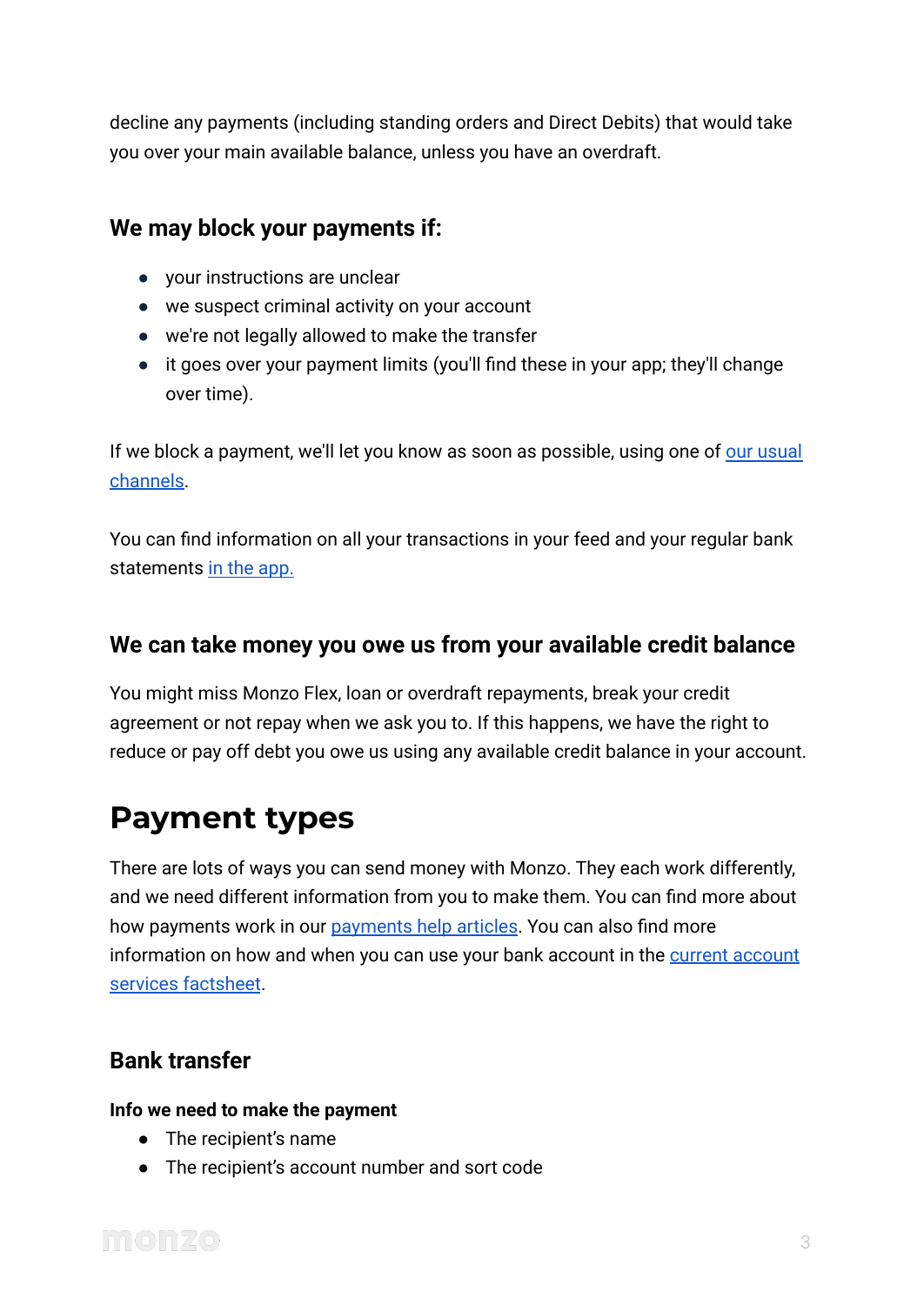decline any payments (including standing orders and Direct Debits) that would take you over your main available balance, unless you have an overdraft.

### **We may block your payments if:**

- your instructions are unclear
- we suspect criminal activity on your account
- we're not legally allowed to make the transfer
- it goes over your payment limits (you'll find these in your app; they'll change over time).

If we block a payment, we'll let you know as soon as possible, using one of [our usual](https://monzo.com/legal/#how-well-contact-you) [channels.](https://monzo.com/legal/#how-well-contact-you)

You can find information on all your transactions in your feed and your regular bank statements [in the app.](https://monzo.com/help/account-and-profile/bank-statement-how-to)

### **We can take money you owe us from your available credit balance**

You might miss Monzo Flex, loan or overdraft repayments, break your credit agreement or not repay when we ask you to. If this happens, we have the right to reduce or pay off debt you owe us using any available credit balance in your account.

## **Payment types**

There are lots of ways you can send money with Monzo. They each work differently, and we need different information from you to make them. You can find more about how payments work in our [payments help articles](https://monzo.com/help/payments-getting-started). You can also find more information on how and when you can use your bank account in the [current account](https://monzo.com/information-about-current-account-services/) [services factsheet](https://monzo.com/information-about-current-account-services/).

### **Bank transfer**

#### **Info we need to make the payment**

- The recipient's name
- The recipient's account number and sort code

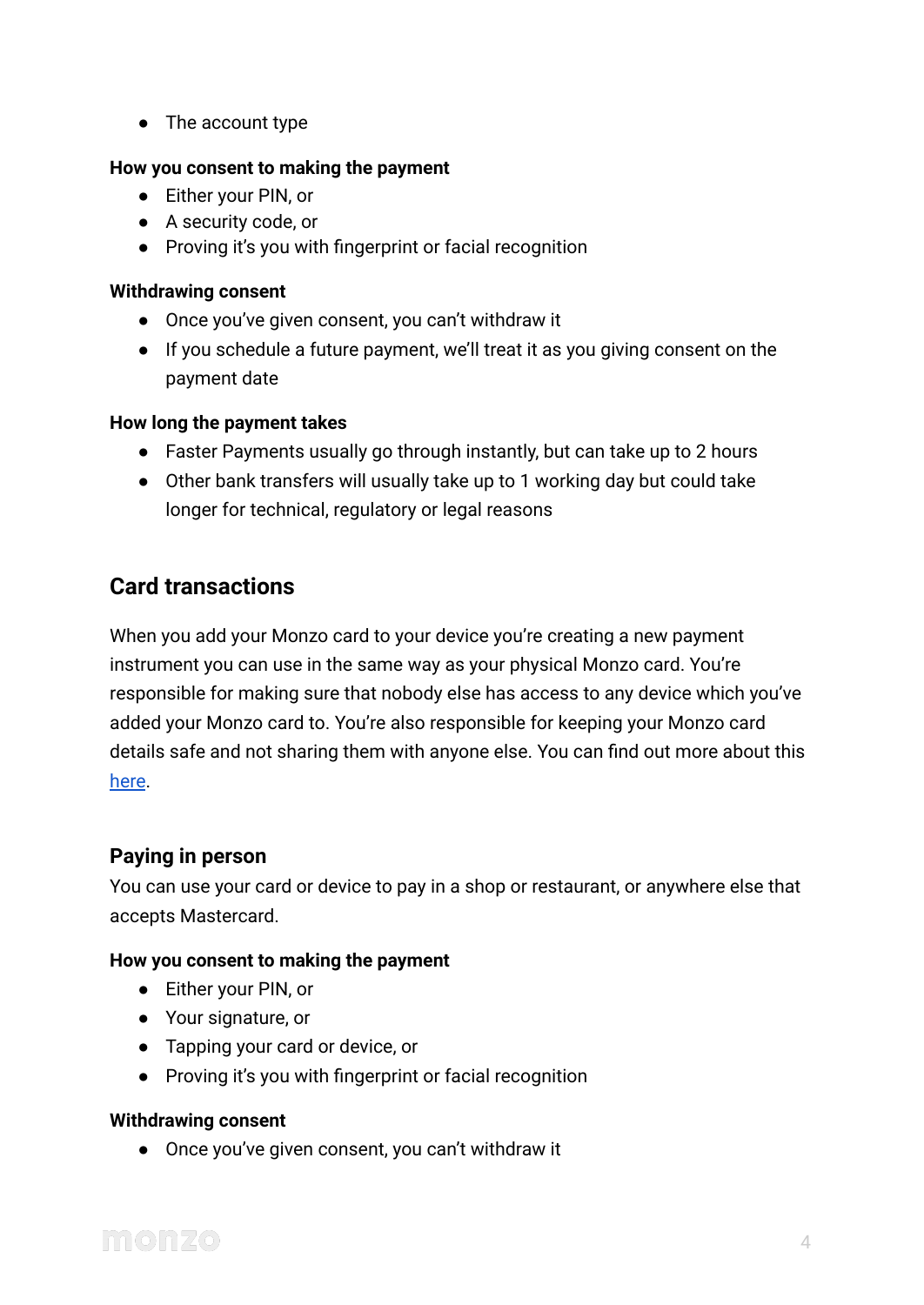● The account type

#### **How you consent to making the payment**

- Either your PIN, or
- A security code, or
- Proving it's you with fingerprint or facial recognition

#### **Withdrawing consent**

- Once you've given consent, you can't withdraw it
- If you schedule a future payment, we'll treat it as you giving consent on the payment date

#### **How long the payment takes**

- Faster Payments usually go through instantly, but can take up to 2 hours
- Other bank transfers will usually take up to 1 working day but could take longer for technical, regulatory or legal reasons

### **Card transactions**

When you add your Monzo card to your device you're creating a new payment instrument you can use in the same way as your physical Monzo card. You're responsible for making sure that nobody else has access to any device which you've added your Monzo card to. You're also responsible for keeping your Monzo card details safe and not sharing them with anyone else. You can find out more about this [here](https://monzo.com/help/monzo-fraud-category/stay-safe-online).

#### **Paying in person**

You can use your card or device to pay in a shop or restaurant, or anywhere else that accepts Mastercard.

#### **How you consent to making the payment**

- Either your PIN, or
- Your signature, or
- Tapping your card or device, or
- Proving it's you with fingerprint or facial recognition

#### **Withdrawing consent**

● Once you've given consent, you can't withdraw it

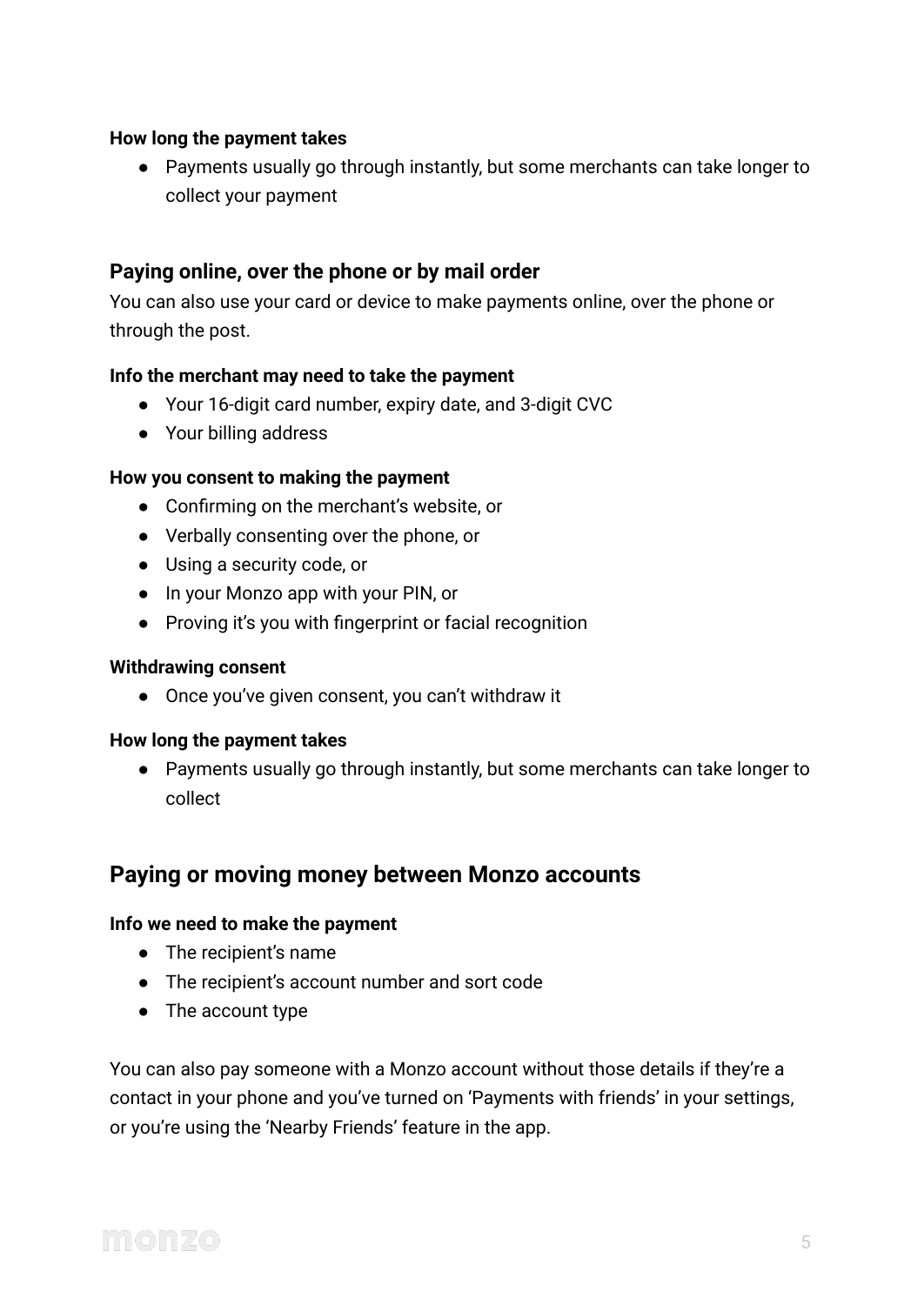#### **How long the payment takes**

● Payments usually go through instantly, but some merchants can take longer to collect your payment

#### **Paying online, over the phone or by mail order**

You can also use your card or device to make payments online, over the phone or through the post.

#### **Info the merchant may need to take the payment**

- Your 16-digit card number, expiry date, and 3-digit CVC
- Your billing address

#### **How you consent to making the payment**

- Confirming on the merchant's website, or
- Verbally consenting over the phone, or
- Using a security code, or
- In your Monzo app with your PIN, or
- Proving it's you with fingerprint or facial recognition

#### **Withdrawing consent**

● Once you've given consent, you can't withdraw it

#### **How long the payment takes**

● Payments usually go through instantly, but some merchants can take longer to collect

### **Paying or moving money between Monzo accounts**

#### **Info we need to make the payment**

- The recipient's name
- The recipient's account number and sort code
- The account type

You can also pay someone with a Monzo account without those details if they're a contact in your phone and you've turned on 'Payments with friends' in your settings, or you're using the 'Nearby Friends' feature in the app.

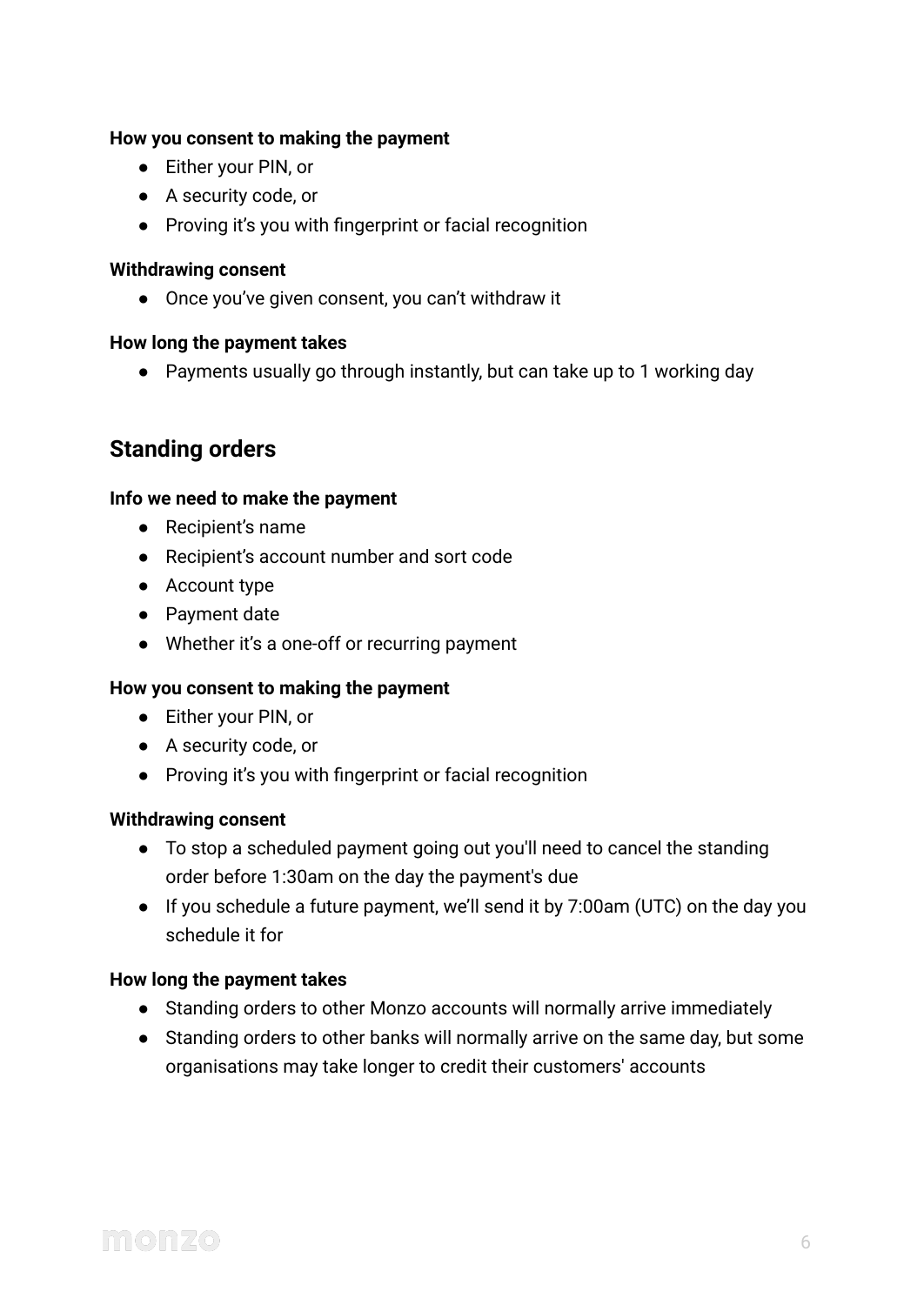#### **How you consent to making the payment**

- Either your PIN, or
- A security code, or
- Proving it's you with fingerprint or facial recognition

#### **Withdrawing consent**

● Once you've given consent, you can't withdraw it

#### **How long the payment takes**

● Payments usually go through instantly, but can take up to 1 working day

### **Standing orders**

#### **Info we need to make the payment**

- Recipient's name
- Recipient's account number and sort code
- Account type
- Payment date
- Whether it's a one-off or recurring payment

#### **How you consent to making the payment**

- Either your PIN, or
- A security code, or
- Proving it's you with fingerprint or facial recognition

#### **Withdrawing consent**

- To stop a scheduled payment going out you'll need to cancel the standing order before 1:30am on the day the payment's due
- If you schedule a future payment, we'll send it by 7:00am (UTC) on the day you schedule it for

#### **How long the payment takes**

- Standing orders to other Monzo accounts will normally arrive immediately
- Standing orders to other banks will normally arrive on the same day, but some organisations may take longer to credit their customers' accounts

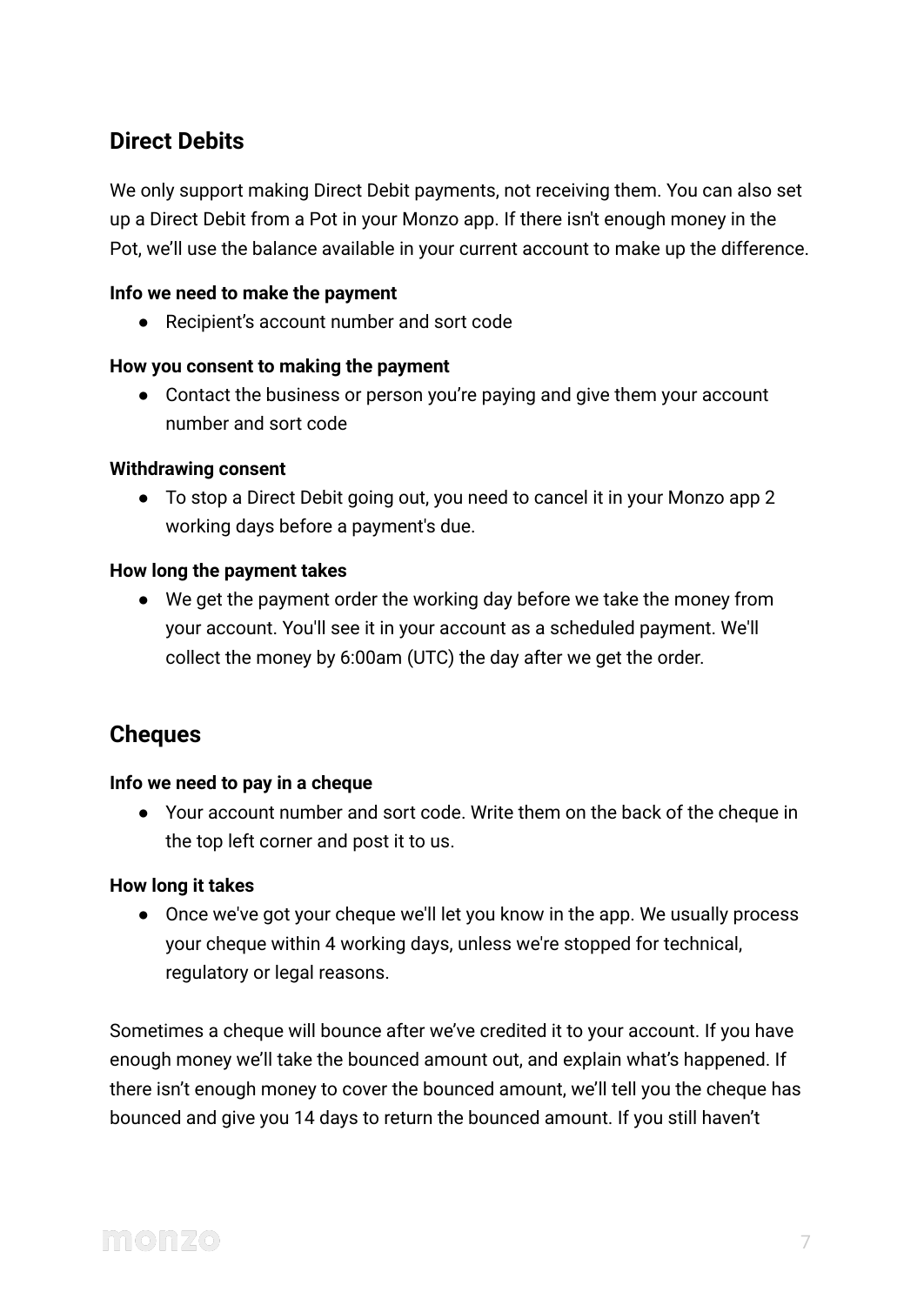### **Direct Debits**

We only support making Direct Debit payments, not receiving them. You can also set up a Direct Debit from a Pot in your Monzo app. If there isn't enough money in the Pot, we'll use the balance available in your current account to make up the difference.

#### **Info we need to make the payment**

● Recipient's account number and sort code

#### **How you consent to making the payment**

● Contact the business or person you're paying and give them your account number and sort code

#### **Withdrawing consent**

● To stop a Direct Debit going out, you need to cancel it in your Monzo app 2 working days before a payment's due.

#### **How long the payment takes**

● We get the payment order the working day before we take the money from your account. You'll see it in your account as a scheduled payment. We'll collect the money by 6:00am (UTC) the day after we get the order.

### **Cheques**

#### **Info we need to pay in a cheque**

● Your account number and sort code. Write them on the back of the cheque in the top left corner and post it to us.

#### **How long it takes**

● Once we've got your cheque we'll let you know in the app. We usually process your cheque within 4 working days, unless we're stopped for technical, regulatory or legal reasons.

Sometimes a cheque will bounce after we've credited it to your account. If you have enough money we'll take the bounced amount out, and explain what's happened. If there isn't enough money to cover the bounced amount, we'll tell you the cheque has bounced and give you 14 days to return the bounced amount. If you still haven't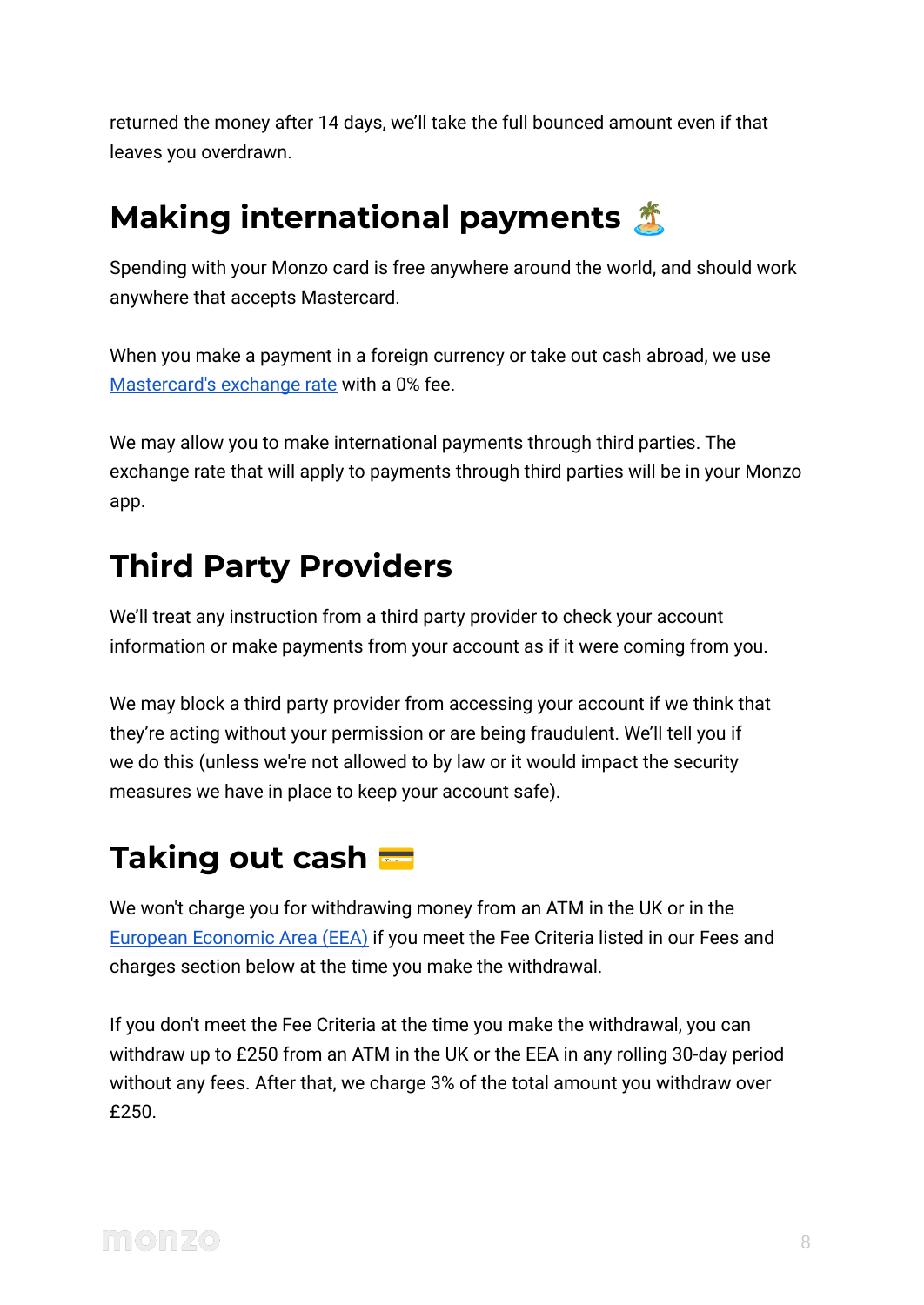returned the money after 14 days, we'll take the full bounced amount even if that leaves you overdrawn.

# **Making international payments**

Spending with your Monzo card is free anywhere around the world, and should work anywhere that accepts Mastercard.

When you make a payment in a foreign currency or take out cash abroad, we use [Mastercard's exchange rate](https://monzo.com/i/ecb-rates) with a 0% fee.

We may allow you to make international payments through third parties. The exchange rate that will apply to payments through third parties will be in your Monzo app.

# **Third Party Providers**

We'll treat any instruction from a third party provider to check your account information or make payments from your account as if it were coming from you.

We may block a third party provider from accessing your account if we think that they're acting without your permission or are being fraudulent. We'll tell you if we do this (unless we're not allowed to by law or it would impact the security measures we have in place to keep your account safe).

### **Taking out cash**

We won't charge you for withdrawing money from an ATM in the UK or in the [European Economic Area \(EEA\)](https://monzo.com/help/travelling/fees-charges-abroad) if you meet the Fee Criteria listed in our Fees and charges section below at the time you make the withdrawal.

If you don't meet the Fee Criteria at the time you make the withdrawal, you can withdraw up to £250 from an ATM in the UK or the EEA in any rolling 30-day period without any fees. After that, we charge 3% of the total amount you withdraw over £250.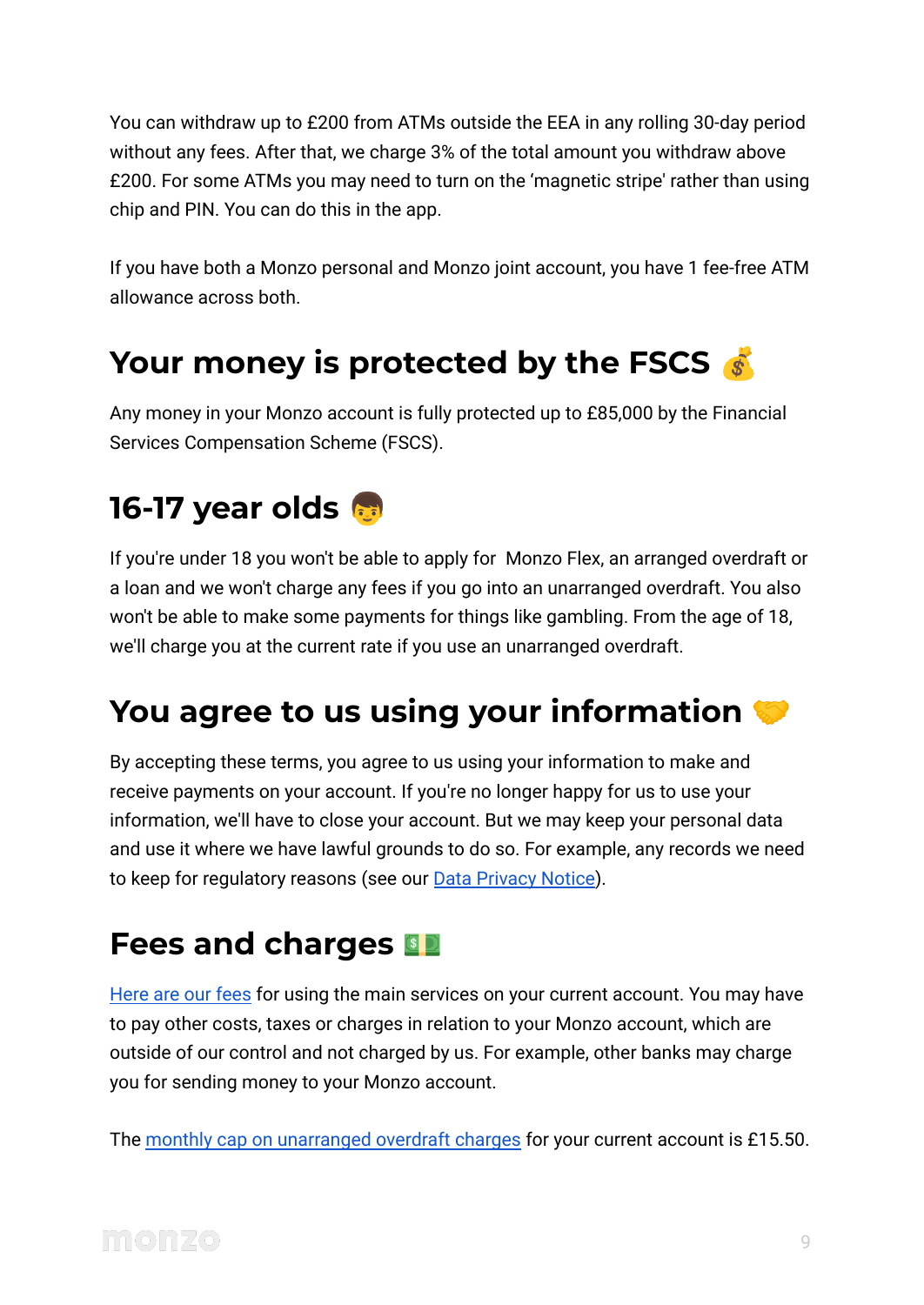You can withdraw up to £200 from ATMs outside the EEA in any rolling 30-day period without any fees. After that, we charge 3% of the total amount you withdraw above £200. For some ATMs you may need to turn on the 'magnetic stripe' rather than using chip and PIN. You can do this in the app.

If you have both a Monzo personal and Monzo joint account, you have 1 fee-free ATM allowance across both.

## **Your money is protected by the FSCS**

Any money in your Monzo account is fully protected up to £85,000 by the Financial Services Compensation Scheme (FSCS).

## **16-17 year olds**

If you're under 18 you won't be able to apply for Monzo Flex, an arranged overdraft or a loan and we won't charge any fees if you go into an unarranged overdraft. You also won't be able to make some payments for things like gambling. From the age of 18, we'll charge you at the current rate if you use an unarranged overdraft.

# **You agree to us using your information**

By accepting these terms, you agree to us using your information to make and receive payments on your account. If you're no longer happy for us to use your information, we'll have to close your account. But we may keep your personal data and use it where we have lawful grounds to do so. For example, any records we need to keep for regulatory reasons (see our **[Data Privacy](https://monzo.com/legal/privacy-notice) Notice**).

## **Fees and charges**

[Here are our fees](https://monzo.com/legal/fee-information/) for using the main services on your current account. You may have to pay other costs, taxes or charges in relation to your Monzo account, which are outside of our control and not charged by us. For example, other banks may charge you for sending money to your Monzo account.

The [monthly cap on unarranged overdraft charges](https://monzo.com/legal/terms-and-conditions/overdraft-charges-monthly-cap) for your current account is £15.50.

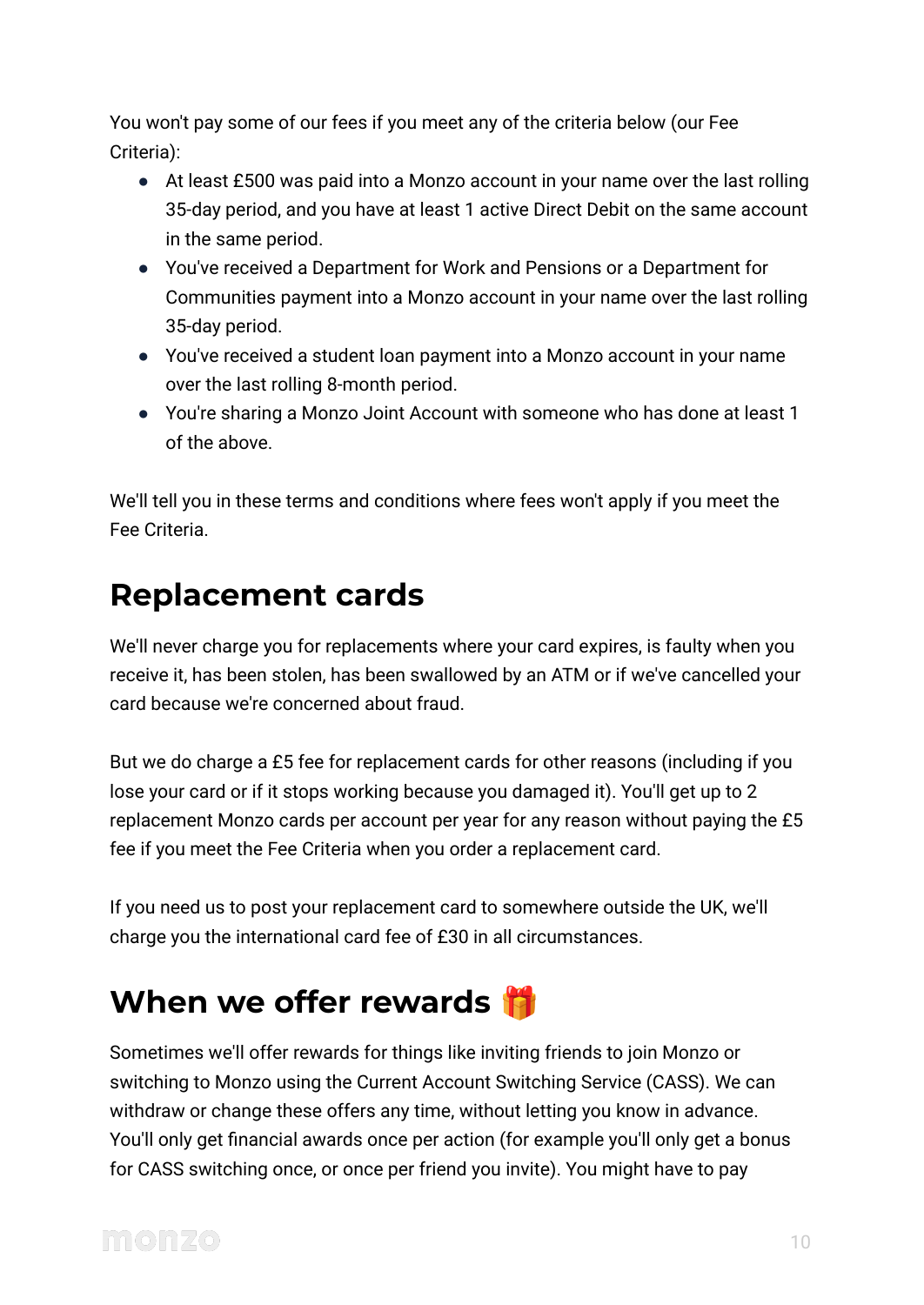You won't pay some of our fees if you meet any of the criteria below (our Fee Criteria):

- At least £500 was paid into a Monzo account in your name over the last rolling 35-day period, and you have at least 1 active Direct Debit on the same account in the same period.
- You've received a Department for Work and Pensions or a Department for Communities payment into a Monzo account in your name over the last rolling 35-day period.
- You've received a student loan payment into a Monzo account in your name over the last rolling 8-month period.
- You're sharing a Monzo Joint Account with someone who has done at least 1 of the above.

We'll tell you in these terms and conditions where fees won't apply if you meet the Fee Criteria.

# **Replacement cards**

We'll never charge you for replacements where your card expires, is faulty when you receive it, has been stolen, has been swallowed by an ATM or if we've cancelled your card because we're concerned about fraud.

But we do charge a £5 fee for replacement cards for other reasons (including if you lose your card or if it stops working because you damaged it). You'll get up to 2 replacement Monzo cards per account per year for any reason without paying the £5 fee if you meet the Fee Criteria when you order a replacement card.

If you need us to post your replacement card to somewhere outside the UK, we'll charge you the international card fee of £30 in all circumstances.

## **When we offer rewards**

Sometimes we'll offer rewards for things like inviting friends to join Monzo or switching to Monzo using the Current Account Switching Service (CASS). We can withdraw or change these offers any time, without letting you know in advance. You'll only get financial awards once per action (for example you'll only get a bonus for CASS switching once, or once per friend you invite). You might have to pay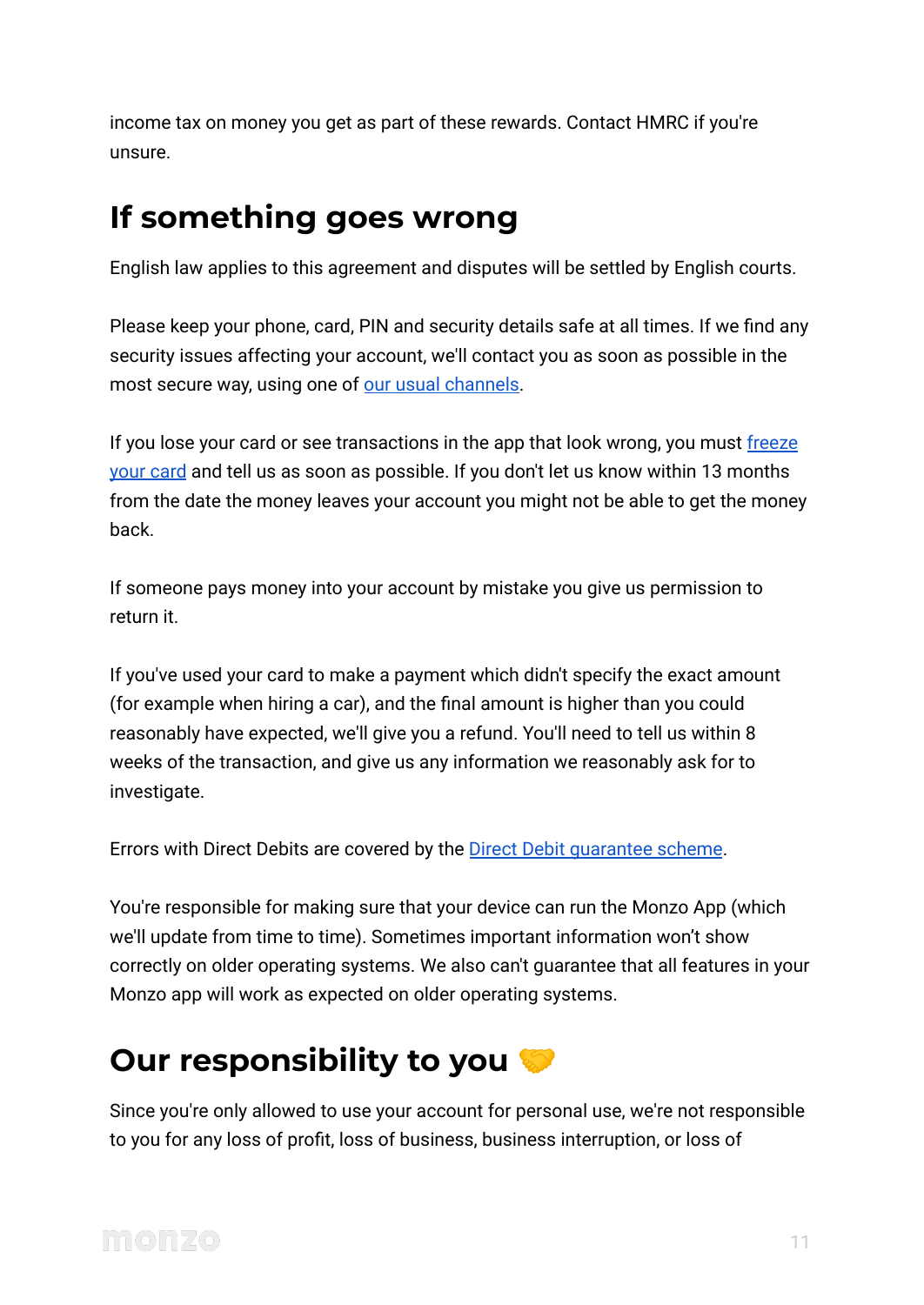income tax on money you get as part of these rewards. Contact HMRC if you're unsure.

### **If something goes wrong**

English law applies to this agreement and disputes will be settled by English courts.

Please keep your phone, card, PIN and security details safe at all times. If we find any security issues affecting your account, we'll contact you as soon as possible in the most secure way, using one of [our usual channels](https://monzo.com/legal/#how-well-contact-you).

If you lose your card or see transactions in the app that look wrong, you must [freeze](https://monzo.com/help/monzo-card-pin/monzo-card-lost-damaged-stolen) [your card](https://monzo.com/help/monzo-card-pin/monzo-card-lost-damaged-stolen) and tell us as soon as possible. If you don't let us know within 13 months from the date the money leaves your account you might not be able to get the money back.

If someone pays money into your account by mistake you give us permission to return it.

If you've used your card to make a payment which didn't specify the exact amount (for example when hiring a car), and the final amount is higher than you could reasonably have expected, we'll give you a refund. You'll need to tell us within 8 weeks of the transaction, and give us any information we reasonably ask for to investigate.

Errors with Direct Debits are covered by the Direct [Debit guarantee scheme](https://monzo.com/help/payments-getting-started/direct-debit-guarantee-what).

You're responsible for making sure that your device can run the Monzo App (which we'll update from time to time). Sometimes important information won't show correctly on older operating systems. We also can't guarantee that all features in your Monzo app will work as expected on older operating systems.

### **Our responsibility to you**

Since you're only allowed to use your account for personal use, we're not responsible to you for any loss of profit, loss of business, business interruption, or loss of

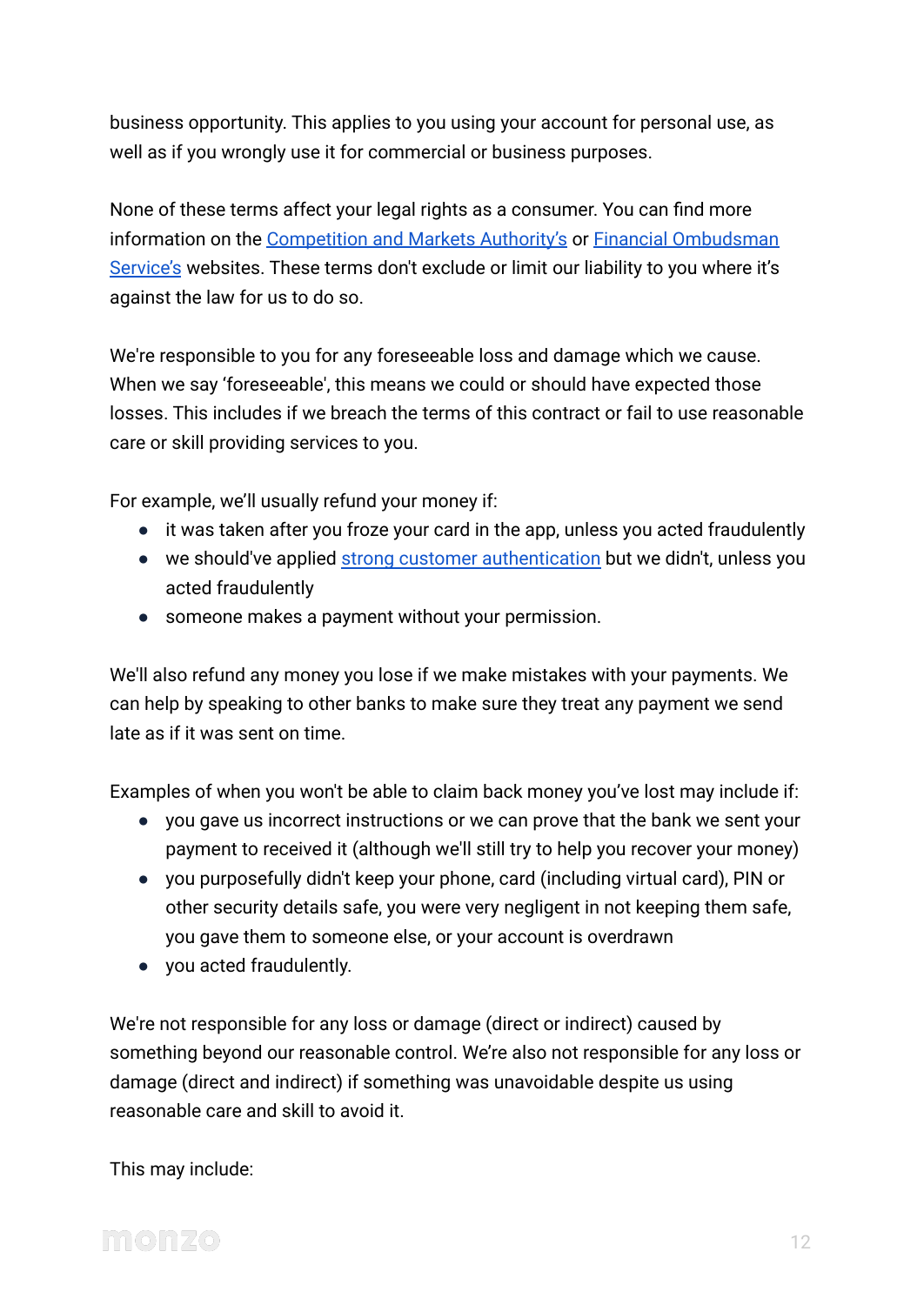business opportunity. This applies to you using your account for personal use, as well as if you wrongly use it for commercial or business purposes.

None of these terms affect your legal rights as a consumer. You can find more information on the [Competition and Markets Authority's](https://www.gov.uk/government/organisations/competition-and-markets-authority) or [Financial Ombudsman](https://www.financial-ombudsman.org.uk/) [Service's](https://www.financial-ombudsman.org.uk/) websites. These terms don't exclude or limit our liability to you where it's against the law for us to do so.

We're responsible to you for any foreseeable loss and damage which we cause. When we say 'foreseeable', this means we could or should have expected those losses. This includes if we breach the terms of this contract or fail to use reasonable care or skill providing services to you.

For example, we'll usually refund your money if:

- it was taken after you froze your card in the app, unless you acted fraudulently
- we should've applied [strong customer authentication](https://monzo.com/blog/2019/08/22/strong-customer-authentication) but we didn't, unless you acted fraudulently
- someone makes a payment without your permission.

We'll also refund any money you lose if we make mistakes with your payments. We can help by speaking to other banks to make sure they treat any payment we send late as if it was sent on time.

Examples of when you won't be able to claim back money you've lost may include if:

- you gave us incorrect instructions or we can prove that the bank we sent your payment to received it (although we'll still try to help you recover your money)
- you purposefully didn't keep your phone, card (including virtual card), PIN or other security details safe, you were very negligent in not keeping them safe, you gave them to someone else, or your account is overdrawn
- you acted fraudulently.

We're not responsible for any loss or damage (direct or indirect) caused by something beyond our reasonable control. We're also not responsible for any loss or damage (direct and indirect) if something was unavoidable despite us using reasonable care and skill to avoid it.

This may include:

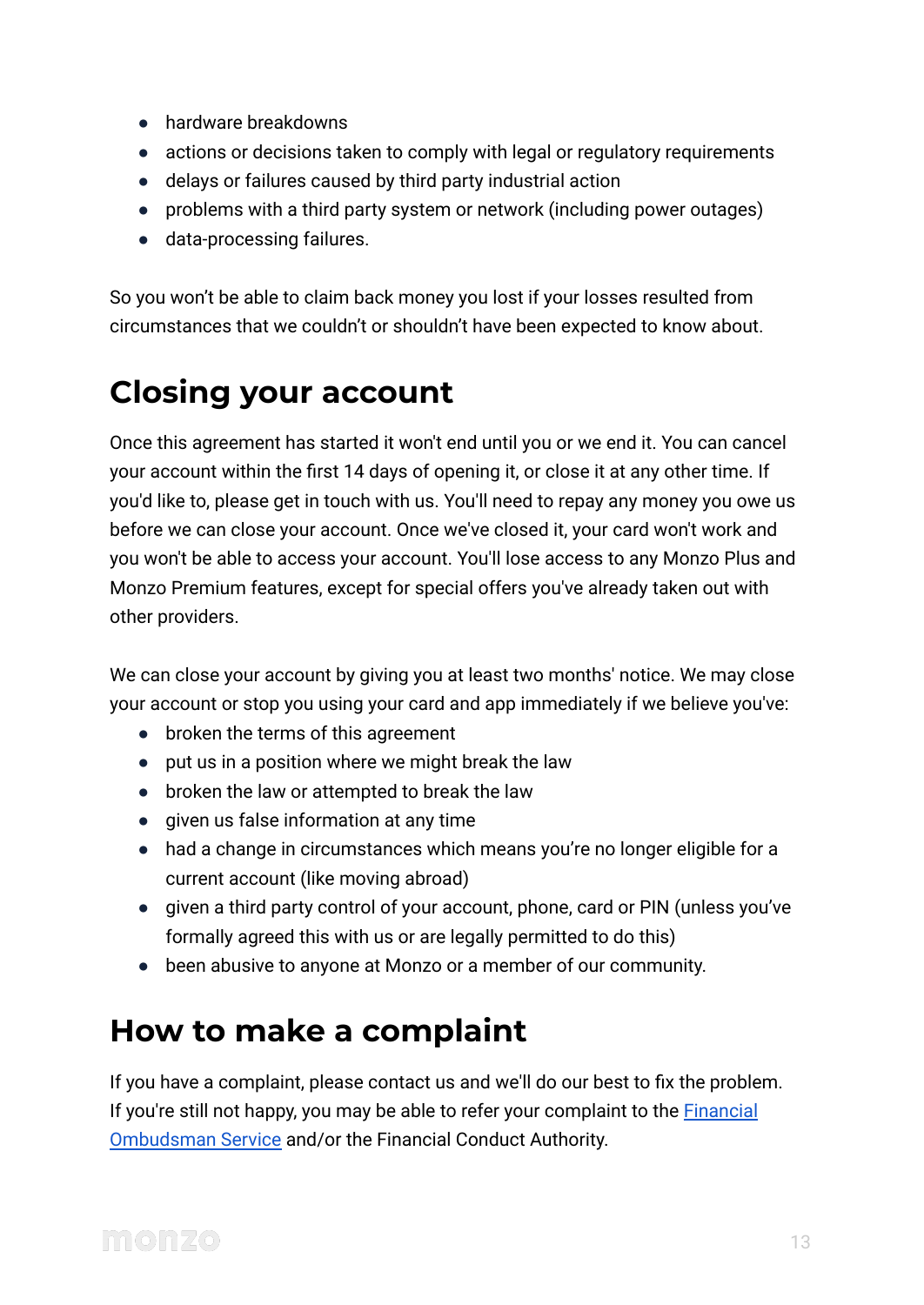- hardware breakdowns
- actions or decisions taken to comply with legal or regulatory requirements
- delays or failures caused by third party industrial action
- problems with a third party system or network (including power outages)
- data-processing failures.

So you won't be able to claim back money you lost if your losses resulted from circumstances that we couldn't or shouldn't have been expected to know about.

### **Closing your account**

Once this agreement has started it won't end until you or we end it. You can cancel your account within the first 14 days of opening it, or close it at any other time. If you'd like to, please get in touch with us. You'll need to repay any money you owe us before we can close your account. Once we've closed it, your card won't work and you won't be able to access your account. You'll lose access to any Monzo Plus and Monzo Premium features, except for special offers you've already taken out with other providers.

We can close your account by giving you at least two months' notice. We may close your account or stop you using your card and app immediately if we believe you've:

- broken the terms of this agreement
- put us in a position where we might break the law
- broken the law or attempted to break the law
- given us false information at any time
- had a change in circumstances which means you're no longer eligible for a current account (like moving abroad)
- given a third party control of your account, phone, card or PIN (unless you've formally agreed this with us or are legally permitted to do this)
- been abusive to anyone at Monzo or a member of our community.

### **How to make a complaint**

If you have a complaint, please contact us and we'll do our best to fix the problem. If you're still not happy, you may be able to refer your complaint to the **[Financial](http://www.financial-ombudsman.org.uk/)** [Ombudsman Service](http://www.financial-ombudsman.org.uk/) and/or the Financial Conduct Authority.